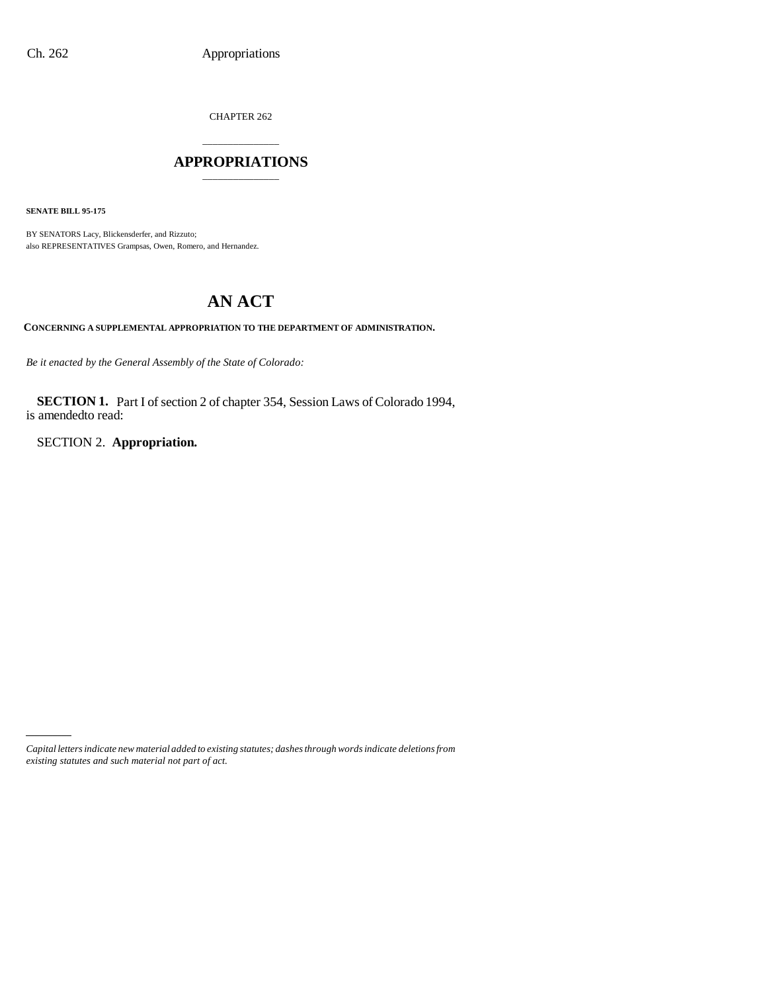CHAPTER 262

## \_\_\_\_\_\_\_\_\_\_\_\_\_\_\_ **APPROPRIATIONS** \_\_\_\_\_\_\_\_\_\_\_\_\_\_\_

**SENATE BILL 95-175**

BY SENATORS Lacy, Blickensderfer, and Rizzuto; also REPRESENTATIVES Grampsas, Owen, Romero, and Hernandez.

# **AN ACT**

**CONCERNING A SUPPLEMENTAL APPROPRIATION TO THE DEPARTMENT OF ADMINISTRATION.**

*Be it enacted by the General Assembly of the State of Colorado:*

**SECTION 1.** Part I of section 2 of chapter 354, Session Laws of Colorado 1994, is amendedto read:

SECTION 2. **Appropriation.**

*Capital letters indicate new material added to existing statutes; dashes through words indicate deletions from existing statutes and such material not part of act.*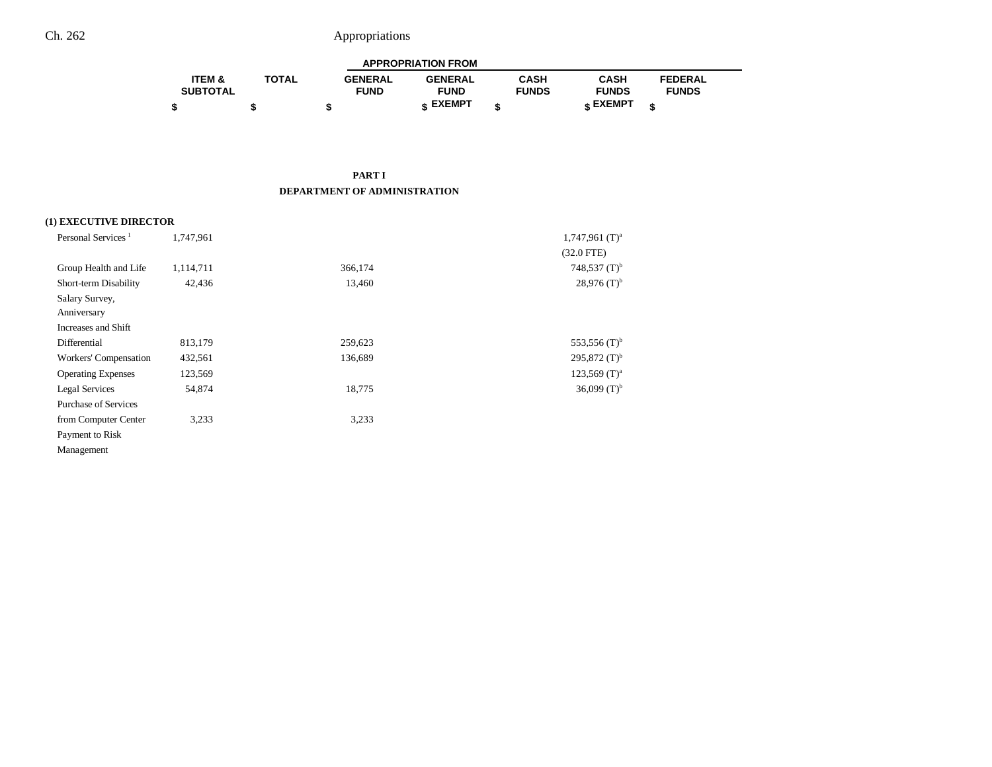| <b>APPROPRIATION FROM</b> |              |                |                 |              |              |                |  |
|---------------------------|--------------|----------------|-----------------|--------------|--------------|----------------|--|
| <b>ITEM &amp;</b>         | <b>TOTAL</b> | <b>GENERAL</b> | <b>GENERAL</b>  | CASH         | CASH         | <b>FEDERAL</b> |  |
| <b>SUBTOTAL</b>           |              | <b>FUND</b>    | <b>FUND</b>     | <b>FUNDS</b> | <b>FUNDS</b> | <b>FUNDS</b>   |  |
|                           |              |                | <b>« EXEMPT</b> |              | e EXEMPT ہ   |                |  |

#### **PART I DEPARTMENT OF ADMINISTRATION**

#### **(1) EXECUTIVE DIRECTOR**

| Personal Services <sup>1</sup> | 1,747,961 |         | $1,747,961$ (T) <sup>a</sup> |
|--------------------------------|-----------|---------|------------------------------|
|                                |           |         | $(32.0$ FTE)                 |
| Group Health and Life          | 1,114,711 | 366,174 | 748,537 $(T)^{b}$            |
| Short-term Disability          | 42,436    | 13,460  | $28,976$ (T) <sup>b</sup>    |
| Salary Survey,                 |           |         |                              |
| Anniversary                    |           |         |                              |
| Increases and Shift            |           |         |                              |
| Differential                   | 813,179   | 259,623 | 553,556 $(T)^b$              |
| Workers' Compensation          | 432,561   | 136,689 | $295,872$ (T) <sup>b</sup>   |
| <b>Operating Expenses</b>      | 123,569   |         | $123,569$ (T) <sup>a</sup>   |
| Legal Services                 | 54,874    | 18,775  | 36,099 $(T)^{b}$             |
| <b>Purchase of Services</b>    |           |         |                              |
| from Computer Center           | 3,233     | 3.233   |                              |
| Payment to Risk                |           |         |                              |
| Management                     |           |         |                              |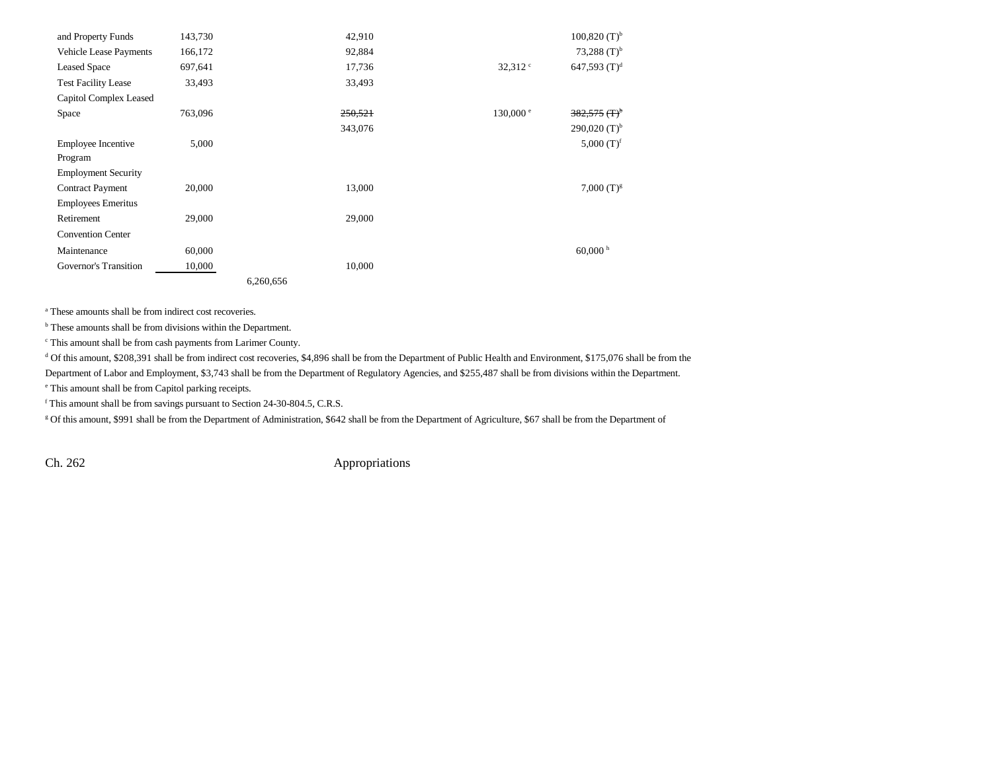| and Property Funds         | 143,730 | 42,910    |                    | $100,820$ (T) <sup>b</sup> |
|----------------------------|---------|-----------|--------------------|----------------------------|
| Vehicle Lease Payments     | 166,172 | 92,884    |                    | 73,288 $(T)^{b}$           |
| <b>Leased Space</b>        | 697,641 | 17,736    | $32,312$ $\degree$ | 647,593 $(T)^d$            |
| <b>Test Facility Lease</b> | 33,493  | 33,493    |                    |                            |
| Capitol Complex Leased     |         |           |                    |                            |
| Space                      | 763,096 | 250,521   | 130,000 e          | $382,575$ (T) <sup>b</sup> |
|                            |         | 343,076   |                    | $290,020$ (T) <sup>b</sup> |
| <b>Employee Incentive</b>  | 5,000   |           |                    | 5,000 $(T)^f$              |
| Program                    |         |           |                    |                            |
| <b>Employment Security</b> |         |           |                    |                            |
| <b>Contract Payment</b>    | 20,000  | 13,000    |                    | $7,000$ (T) <sup>g</sup>   |
| <b>Employees Emeritus</b>  |         |           |                    |                            |
| Retirement                 | 29,000  | 29,000    |                    |                            |
| <b>Convention Center</b>   |         |           |                    |                            |
| Maintenance                | 60,000  |           |                    | $60,000$ h                 |
| Governor's Transition      | 10,000  | 10,000    |                    |                            |
|                            |         | 6,260,656 |                    |                            |

a These amounts shall be from indirect cost recoveries.

<sup>b</sup> These amounts shall be from divisions within the Department.

c This amount shall be from cash payments from Larimer County.

<sup>d</sup> Of this amount, \$208,391 shall be from indirect cost recoveries, \$4,896 shall be from the Department of Public Health and Environment, \$175,076 shall be from the

Department of Labor and Employment, \$3,743 shall be from the Department of Regulatory Agencies, and \$255,487 shall be from divisions within the Department.

e This amount shall be from Capitol parking receipts.

f This amount shall be from savings pursuant to Section 24-30-804.5, C.R.S.

g Of this amount, \$991 shall be from the Department of Administration, \$642 shall be from the Department of Agriculture, \$67 shall be from the Department of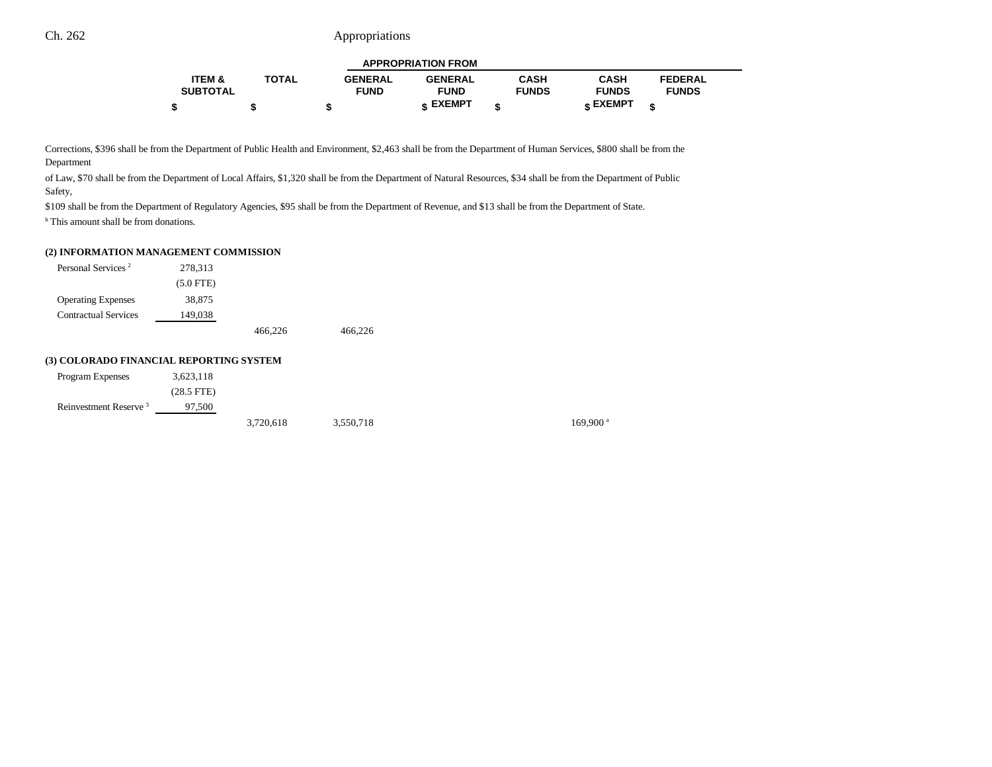|                   |              |                | <b>APPROPRIATION FROM</b> |              |              |                |  |
|-------------------|--------------|----------------|---------------------------|--------------|--------------|----------------|--|
| <b>ITEM &amp;</b> | <b>TOTAL</b> | <b>GENERAL</b> | <b>GENERAL</b>            | <b>CASH</b>  | <b>CASH</b>  | <b>FEDERAL</b> |  |
| <b>SUBTOTAL</b>   |              | <b>FUND</b>    | <b>FUND</b>               | <b>FUNDS</b> | <b>FUNDS</b> | <b>FUNDS</b>   |  |
|                   |              |                | <b>« EXEMPT</b>           |              | е ЕХЕМРТ     |                |  |

Corrections, \$396 shall be from the Department of Public Health and Environment, \$2,463 shall be from the Department of Human Services, \$800 shall be from the Department

of Law, \$70 shall be from the Department of Local Affairs, \$1,320 shall be from the Department of Natural Resources, \$34 shall be from the Department of Public Safety,

\$109 shall be from the Department of Regulatory Agencies, \$95 shall be from the Department of Revenue, and \$13 shall be from the Department of State.

<sup>h</sup> This amount shall be from donations.

#### **(2) INFORMATION MANAGEMENT COMMISSION**

| Personal Services <sup>2</sup> | 278,313     |         |         |
|--------------------------------|-------------|---------|---------|
|                                | $(5.0$ FTE) |         |         |
| <b>Operating Expenses</b>      | 38,875      |         |         |
| <b>Contractual Services</b>    | 149,038     |         |         |
|                                |             | 466,226 | 466.226 |

#### **(3) COLORADO FINANCIAL REPORTING SYSTEM**

| Program Expenses                  | 3,623,118       |           |           |  |
|-----------------------------------|-----------------|-----------|-----------|--|
|                                   | $(28.5$ FTE $)$ |           |           |  |
| Reinvestment Reserve <sup>3</sup> | 97.500          |           |           |  |
|                                   |                 | 3,720,618 | 3,550,718 |  |

 $169,900$ <sup>a</sup>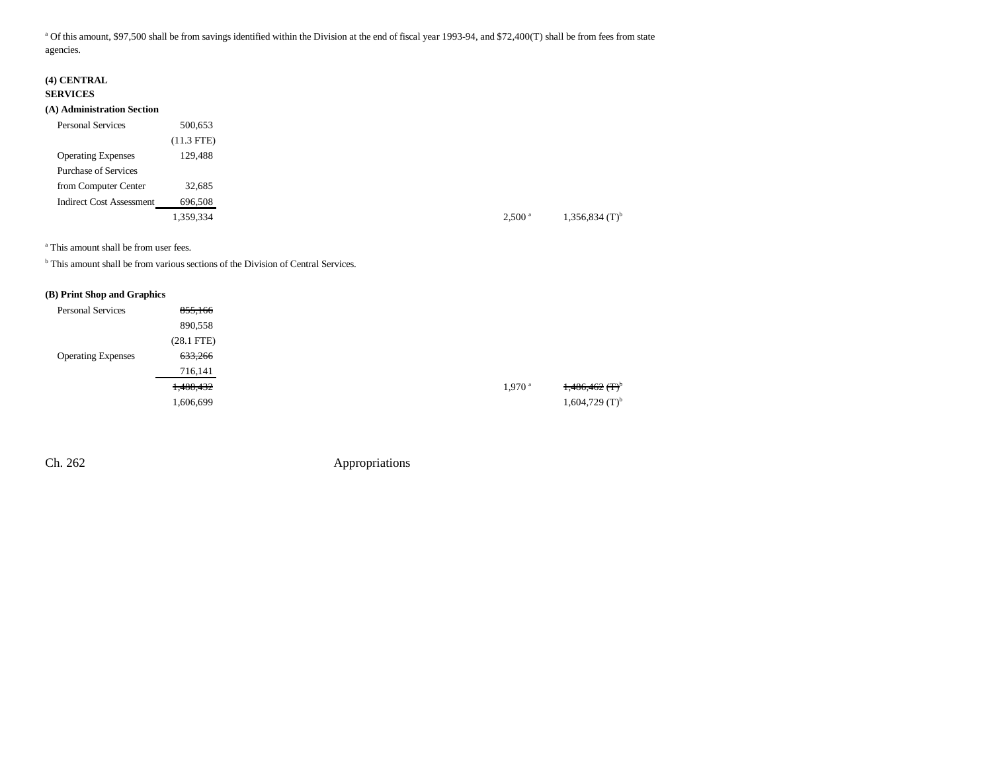<sup>a</sup> Of this amount, \$97,500 shall be from savings identified within the Division at the end of fiscal year 1993-94, and \$72,400(T) shall be from fees from state agencies.

### **(4) CENTRAL**

#### **SERVICES**

#### **(A) Administration Section**

| <b>Personal Services</b>        | 500,653      |
|---------------------------------|--------------|
|                                 | $(11.3$ FTE) |
| <b>Operating Expenses</b>       | 129.488      |
| <b>Purchase of Services</b>     |              |
| from Computer Center            | 32,685       |
| <b>Indirect Cost Assessment</b> | 696,508      |
|                                 | 1,359,334    |

a This amount shall be from user fees.

<sup>b</sup> This amount shall be from various sections of the Division of Central Services.

#### **(B) Print Shop and Graphics**

| <b>Personal Services</b>  | 855,166         |                      |
|---------------------------|-----------------|----------------------|
|                           | 890,558         |                      |
|                           | $(28.1$ FTE $)$ |                      |
| <b>Operating Expenses</b> | 633,266         |                      |
|                           | 716,141         |                      |
|                           | 1,488,432       | $1,970$ <sup>a</sup> |
|                           | 1,606,699       |                      |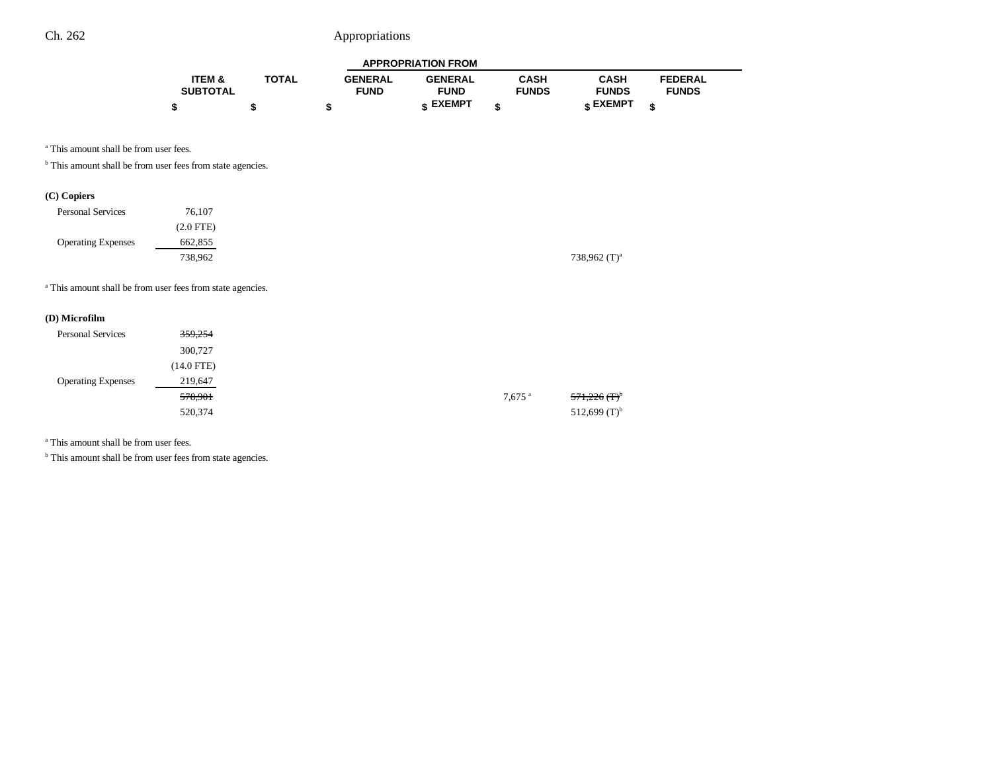| <b>APPROPRIATION FROM</b> |              |                |                 |              |              |                |
|---------------------------|--------------|----------------|-----------------|--------------|--------------|----------------|
| ITEM &                    | <b>TOTAL</b> | <b>GENERAL</b> | <b>GENERAL</b>  | CASH         | <b>CASH</b>  | <b>FEDERAL</b> |
| <b>SUBTOTAL</b>           |              | <b>FUND</b>    | <b>FUND</b>     | <b>FUNDS</b> | <b>FUNDS</b> | <b>FUNDS</b>   |
|                           |              |                | <b>« EXEMPT</b> |              | e EXEMPT ہ   |                |

<sup>a</sup> This amount shall be from user fees.

 $^{\rm b}$  This amount shall be from user fees from state agencies.

### **(C) Copiers**

| <b>Personal Services</b>  | 76.107      |
|---------------------------|-------------|
|                           | $(2.0$ FTE) |
| <b>Operating Expenses</b> | 662,855     |
|                           | 738,962     |

<sup>a</sup> This amount shall be from user fees from state agencies.

### **(D) Microfilm**

| <b>Personal Services</b>  | 359,254      |                      |
|---------------------------|--------------|----------------------|
|                           | 300,727      |                      |
|                           | $(14.0$ FTE) |                      |
| <b>Operating Expenses</b> | 219,647      |                      |
|                           | 578,901      | $7,675$ <sup>a</sup> |
|                           | 520,374      |                      |

a This amount shall be from user fees.

 $^{\rm b}$  This amount shall be from user fees from state agencies.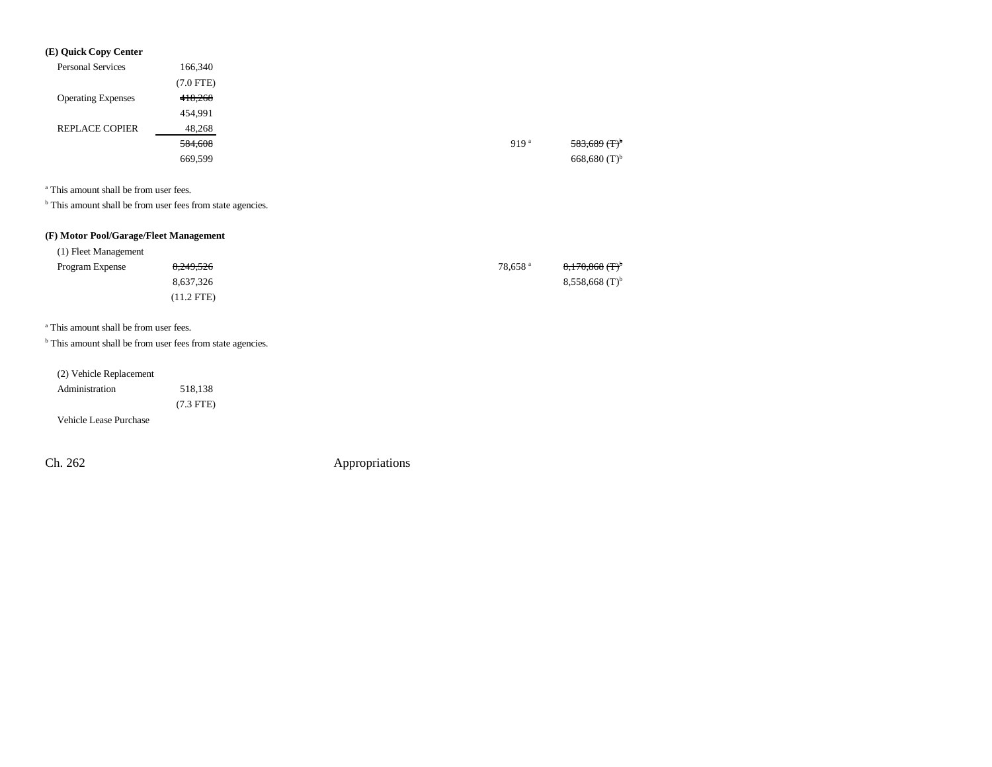| (E) Quick Copy Center     |                |                  |  |
|---------------------------|----------------|------------------|--|
| <b>Personal Services</b>  | 166,340        |                  |  |
|                           | $(7.0$ FTE $)$ |                  |  |
| <b>Operating Expenses</b> | 418,268        |                  |  |
|                           | 454,991        |                  |  |
| <b>REPLACE COPIER</b>     | 48,268         |                  |  |
|                           | 584,608        | 919 <sup>a</sup> |  |
|                           | 669,599        |                  |  |

<sup>a</sup> This amount shall be from user fees.

<sup>b</sup> This amount shall be from user fees from state agencies.

### **(F) Motor Pool/Garage/Fleet Management**

| (1) Fleet Management |            |                     |                              |
|----------------------|------------|---------------------|------------------------------|
| Program Expense      | 8,249,526  | 78.658 <sup>a</sup> | $8,170,868$ (T) <sup>b</sup> |
|                      | 8.637.326  |                     | $8,558,668$ (T) <sup>b</sup> |
|                      | '11.2 FTE) |                     |                              |

a This amount shall be from user fees.

 $<sup>b</sup>$  This amount shall be from user fees from state agencies.</sup>

| (2) Vehicle Replacement |
|-------------------------|
|                         |

| Administration | 518.138     |
|----------------|-------------|
|                | $(7.3$ FTE) |

Vehicle Lease Purchase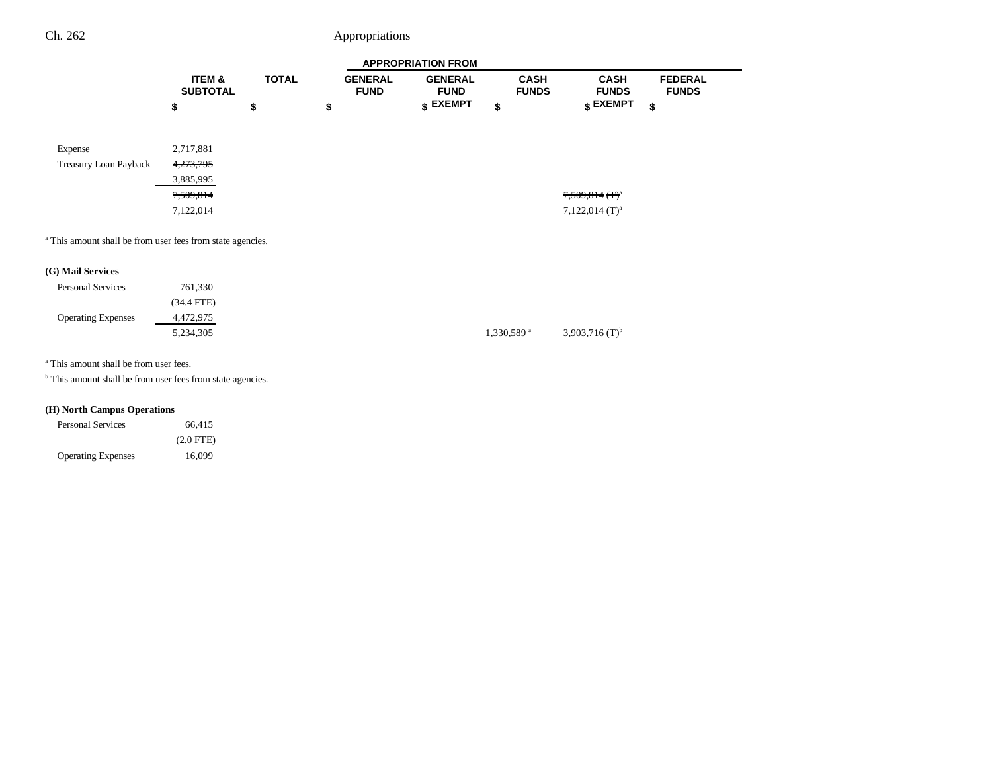|                                                                       | <b>APPROPRIATION FROM</b> |              |                               |                               |                             |                                  |                                |
|-----------------------------------------------------------------------|---------------------------|--------------|-------------------------------|-------------------------------|-----------------------------|----------------------------------|--------------------------------|
|                                                                       | ITEM &<br><b>SUBTOTAL</b> | <b>TOTAL</b> | <b>GENERAL</b><br><b>FUND</b> | <b>GENERAL</b><br><b>FUND</b> | <b>CASH</b><br><b>FUNDS</b> | <b>CASH</b><br><b>FUNDS</b>      | <b>FEDERAL</b><br><b>FUNDS</b> |
|                                                                       | \$                        | \$           | \$                            | $$$ EXEMPT                    | \$                          | $\boldsymbol{\mathsf{s}}$ EXEMPT | \$                             |
| Expense                                                               | 2,717,881                 |              |                               |                               |                             |                                  |                                |
| Treasury Loan Payback                                                 | 4,273,795                 |              |                               |                               |                             |                                  |                                |
|                                                                       | 3,885,995                 |              |                               |                               |                             |                                  |                                |
|                                                                       | 7,509,814                 |              |                               |                               |                             | $7,509,814$ (T) <sup>a</sup>     |                                |
|                                                                       | 7,122,014                 |              |                               |                               |                             | $7,122,014$ (T) <sup>a</sup>     |                                |
| <sup>a</sup> This amount shall be from user fees from state agencies. |                           |              |                               |                               |                             |                                  |                                |
| (G) Mail Services                                                     |                           |              |                               |                               |                             |                                  |                                |

| <b>Personal Services</b>  | 761,330      |                        |
|---------------------------|--------------|------------------------|
|                           | $(34.4$ FTE) |                        |
| <b>Operating Expenses</b> | 4,472,975    |                        |
|                           | 5,234,305    | 1,330,589 <sup>a</sup> |

a This amount shall be from user fees.

<sup>b</sup> This amount shall be from user fees from state agencies.

### **(H) North Campus Operations**

| <b>Personal Services</b>  | 66.415      |
|---------------------------|-------------|
|                           | $(2.0$ FTE) |
| <b>Operating Expenses</b> | 16,099      |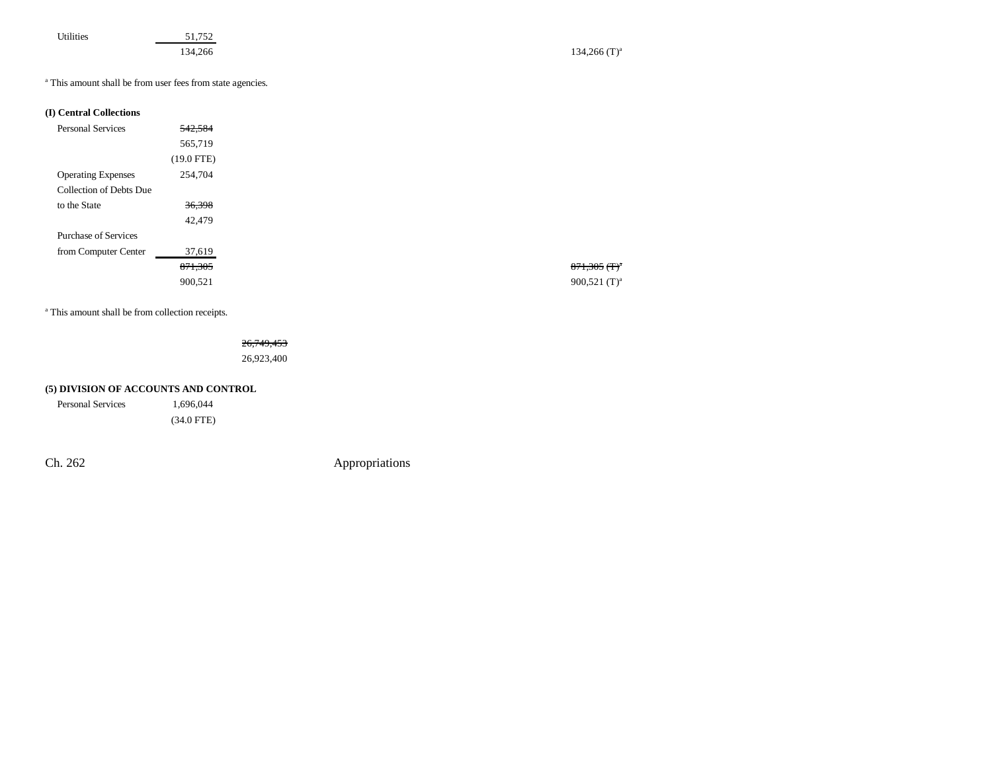| Utilities |  |  |
|-----------|--|--|
|           |  |  |
|           |  |  |
|           |  |  |

51,752

134,266 (T)<sup>a</sup> 134,266 (T)<sup>a</sup>

a This amount shall be from user fees from state agencies.

#### **(I) Central Collections**

| <b>Personal Services</b>    | 542,584      |
|-----------------------------|--------------|
|                             | 565,719      |
|                             | $(19.0$ FTE) |
| <b>Operating Expenses</b>   | 254,704      |
| Collection of Debts Due     |              |
| to the State                | 36,398       |
|                             | 42,479       |
| <b>Purchase of Services</b> |              |
| from Computer Center        | 37,619       |
|                             | 871,305      |
|                             | 900,521      |

<sup>a</sup> This amount shall be from collection receipts.

26,749,453

26,923,400

### **(5) DIVISION OF ACCOUNTS AND CONTROL**

Personal Services 1,696,044

(34.0 FTE)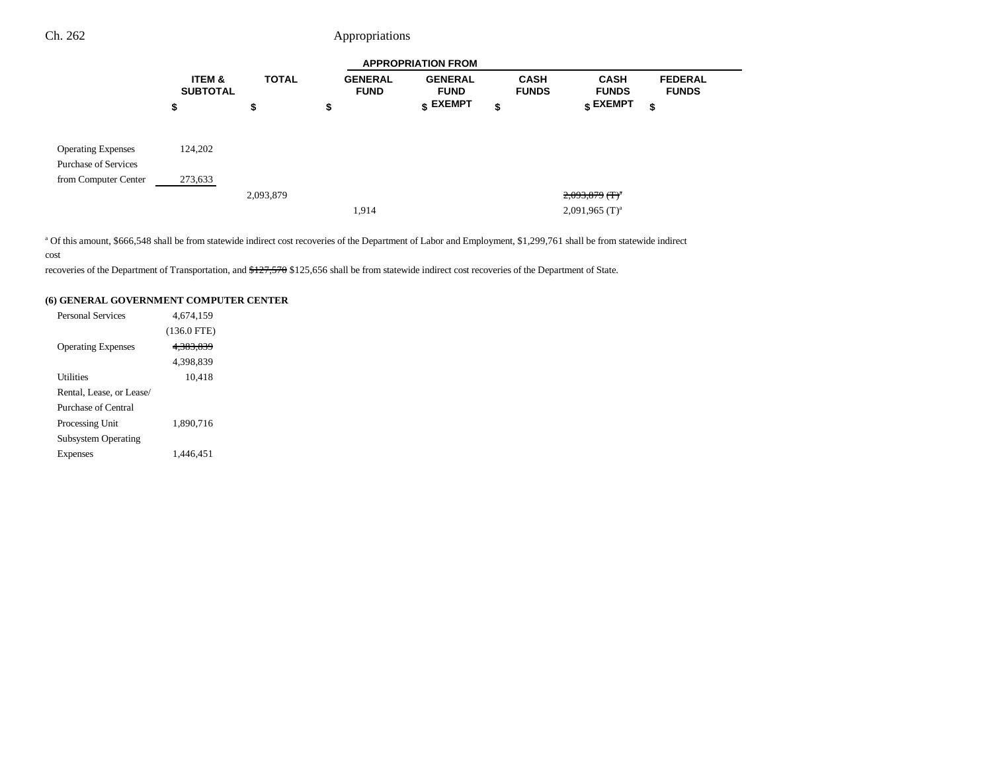|                                                          | <b>APPROPRIATION FROM</b>            |              |                               |                                  |                             |                                  |                                |
|----------------------------------------------------------|--------------------------------------|--------------|-------------------------------|----------------------------------|-----------------------------|----------------------------------|--------------------------------|
|                                                          | <b>ITEM &amp;</b><br><b>SUBTOTAL</b> | <b>TOTAL</b> | <b>GENERAL</b><br><b>FUND</b> | <b>GENERAL</b><br><b>FUND</b>    | <b>CASH</b><br><b>FUNDS</b> | <b>CASH</b><br><b>FUNDS</b>      | <b>FEDERAL</b><br><b>FUNDS</b> |
|                                                          | \$                                   | \$           | \$                            | $\boldsymbol{\mathsf{s}}$ EXEMPT | \$                          | $\boldsymbol{\mathsf{s}}$ EXEMPT | \$                             |
| <b>Operating Expenses</b><br><b>Purchase of Services</b> | 124,202                              |              |                               |                                  |                             |                                  |                                |
| from Computer Center                                     | 273,633                              |              |                               |                                  |                             |                                  |                                |
|                                                          |                                      | 2,093,879    |                               |                                  |                             | $2,093,879$ (T) <sup>a</sup>     |                                |
|                                                          |                                      |              | 1,914                         |                                  |                             | $2,091,965$ (T) <sup>a</sup>     |                                |

<sup>a</sup> Of this amount, \$666,548 shall be from statewide indirect cost recoveries of the Department of Labor and Employment, \$1,299,761 shall be from statewide indirect cost

recoveries of the Department of Transportation, and \$127,570 \$125,656 shall be from statewide indirect cost recoveries of the Department of State.

#### **(6) GENERAL GOVERNMENT COMPUTER CENTER**

| <b>Personal Services</b>   | 4.674.159            |  |
|----------------------------|----------------------|--|
|                            | $(136.0$ FTE)        |  |
| <b>Operating Expenses</b>  | <del>4.383.839</del> |  |
|                            | 4.398.839            |  |
| Utilities                  | 10,418               |  |
| Rental, Lease, or Lease/   |                      |  |
| Purchase of Central        |                      |  |
| Processing Unit            | 1.890.716            |  |
| <b>Subsystem Operating</b> |                      |  |
| Expenses                   | 1.446.451            |  |
|                            |                      |  |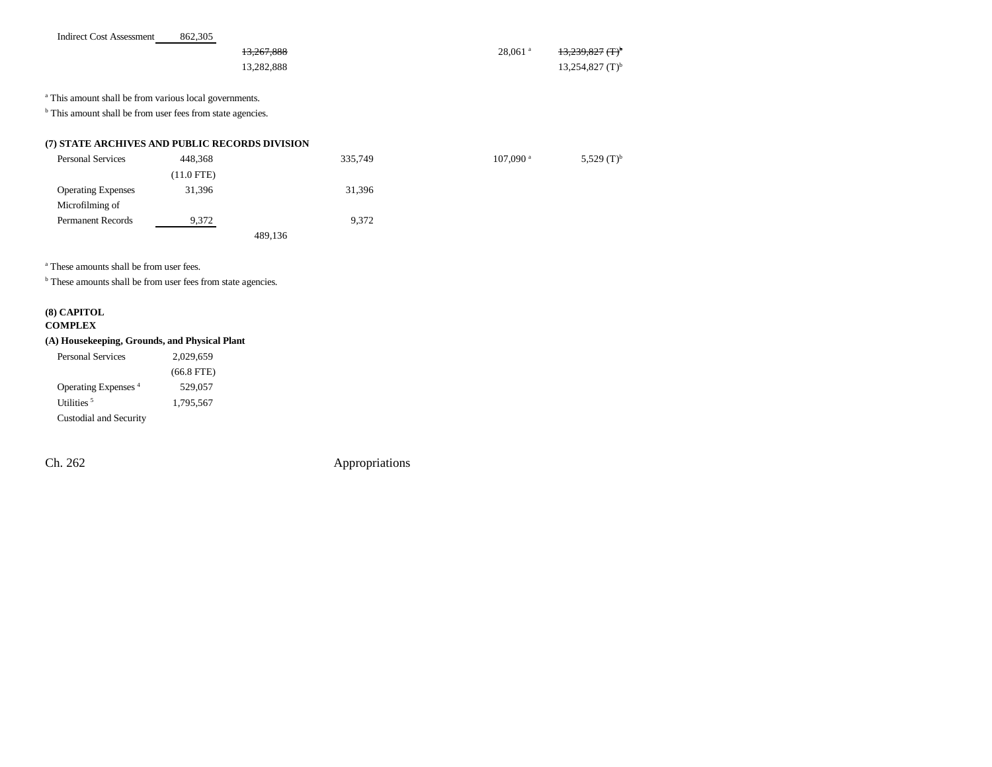|  | <b>Indirect Cost Assessment</b> | 862,305 |
|--|---------------------------------|---------|
|  |                                 |         |

| 13,267,888 | $28.061$ <sup>a</sup> | 13,239,827 (T) <sup>b</sup>   |
|------------|-----------------------|-------------------------------|
| 13.282.888 |                       | $13,254,827$ (T) <sup>b</sup> |

<sup>a</sup> This amount shall be from various local governments.

<sup>b</sup> This amount shall be from user fees from state agencies.

#### **(7) STATE ARCHIVES AND PUBLIC RECORDS DIVISION**

| <b>Personal Services</b>  | 448,368      | 335,749 | $107,090$ <sup>a</sup> | 5,529 $(T)^{b}$ |
|---------------------------|--------------|---------|------------------------|-----------------|
|                           | $(11.0$ FTE) |         |                        |                 |
| <b>Operating Expenses</b> | 31,396       | 31,396  |                        |                 |
| Microfilming of           |              |         |                        |                 |
| <b>Permanent Records</b>  | 9,372        | 9,372   |                        |                 |
|                           |              | 489,136 |                        |                 |

a These amounts shall be from user fees.

**b** These amounts shall be from user fees from state agencies.

# **(8) CAPITOL**

#### **COMPLEX**

### **(A) Housekeeping, Grounds, and Physical Plant**

| Personal Services               | 2.029.659    |
|---------------------------------|--------------|
|                                 | $(66.8$ FTE) |
| Operating Expenses <sup>4</sup> | 529,057      |
| Utilities <sup>5</sup>          | 1.795.567    |
| Custodial and Security          |              |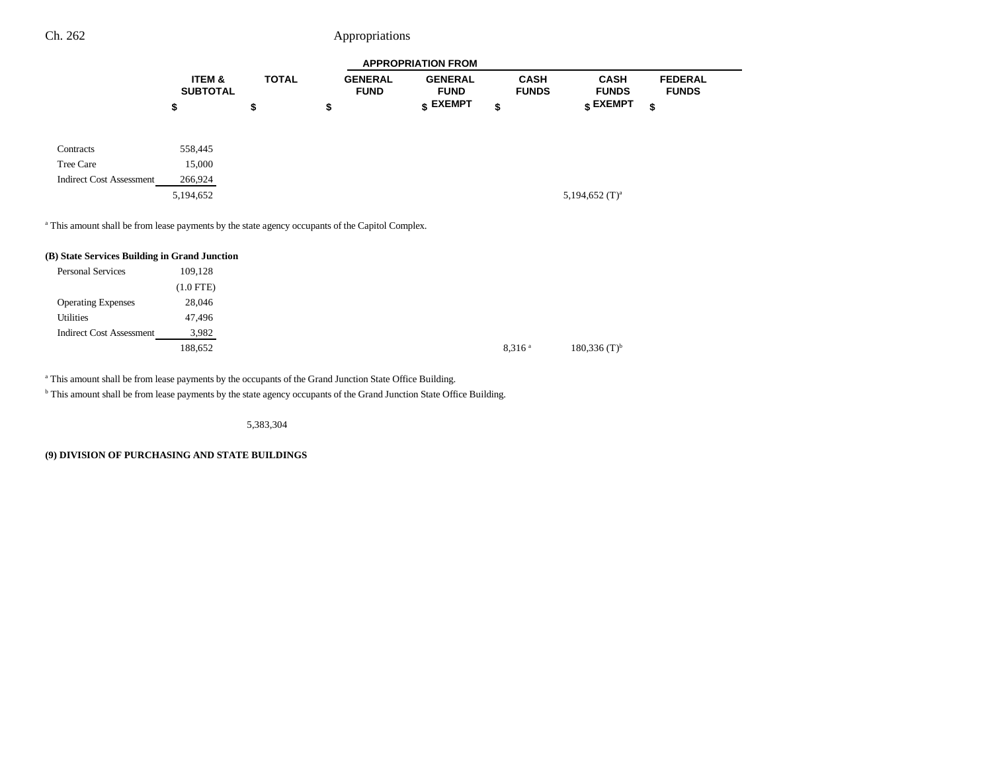|                                 | <b>APPROPRIATION FROM</b> |              |                               |                                  |                             |                             |                                |
|---------------------------------|---------------------------|--------------|-------------------------------|----------------------------------|-----------------------------|-----------------------------|--------------------------------|
|                                 | ITEM &<br><b>SUBTOTAL</b> | <b>TOTAL</b> | <b>GENERAL</b><br><b>FUND</b> | <b>GENERAL</b><br><b>FUND</b>    | <b>CASH</b><br><b>FUNDS</b> | <b>CASH</b><br><b>FUNDS</b> | <b>FEDERAL</b><br><b>FUNDS</b> |
|                                 | \$                        | \$           | \$                            | $\boldsymbol{\mathsf{s}}$ EXEMPT | \$                          | $_{\textbf{\$} }$ EXEMPT    | \$                             |
| Contracts                       | 558,445                   |              |                               |                                  |                             |                             |                                |
| Tree Care                       | 15,000                    |              |                               |                                  |                             |                             |                                |
| <b>Indirect Cost Assessment</b> | 266,924                   |              |                               |                                  |                             |                             |                                |
|                                 | 5,194,652                 |              |                               |                                  |                             | 5,194,652 $(T)^a$           |                                |
|                                 |                           |              |                               |                                  |                             |                             |                                |
|                                 |                           |              |                               |                                  |                             |                             |                                |

<sup>a</sup> This amount shall be from lease payments by the state agency occupants of the Capitol Complex.

| (B) State Services Building in Grand Junction |             |
|-----------------------------------------------|-------------|
| <b>Personal Services</b>                      | 109.128     |
|                                               | $(1.0$ FTE) |
| <b>Operating Expenses</b>                     | 28,046      |
| <b>Utilities</b>                              | 47.496      |
| <b>Indirect Cost Assessment</b>               | 3,982       |
|                                               | 188,652     |

a This amount shall be from lease payments by the occupants of the Grand Junction State Office Building.

<sup>b</sup> This amount shall be from lease payments by the state agency occupants of the Grand Junction State Office Building.

5,383,304

**(9) DIVISION OF PURCHASING AND STATE BUILDINGS**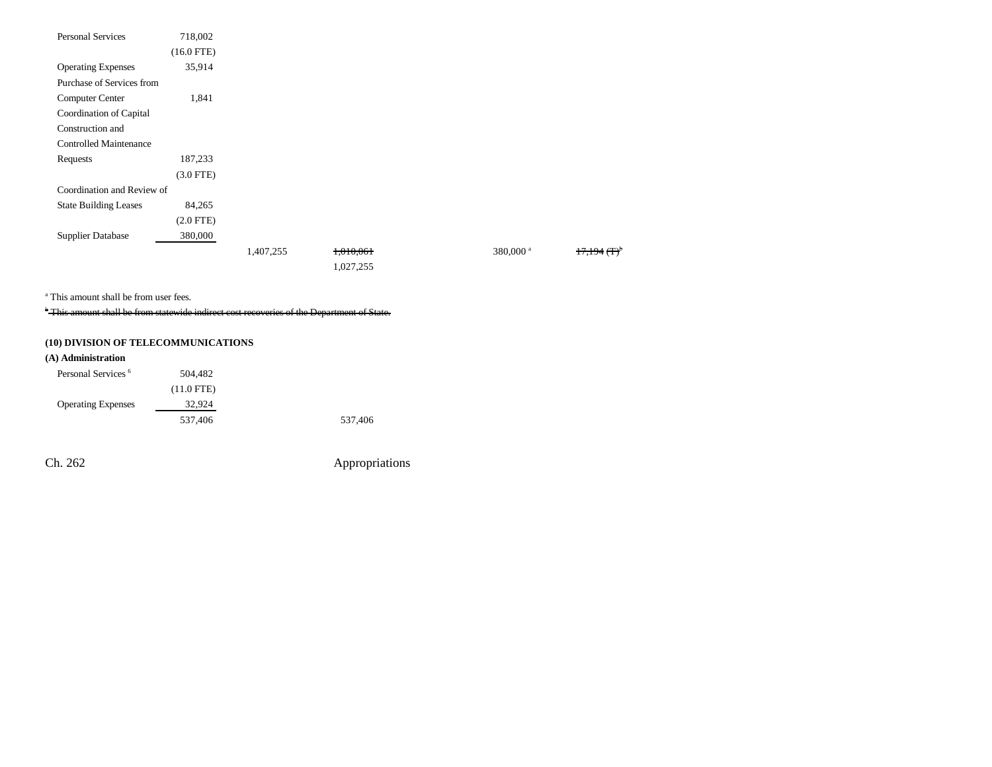| Personal Services             | 718,002      |           |           |                      |                        |
|-------------------------------|--------------|-----------|-----------|----------------------|------------------------|
|                               | $(16.0$ FTE) |           |           |                      |                        |
| <b>Operating Expenses</b>     | 35,914       |           |           |                      |                        |
| Purchase of Services from     |              |           |           |                      |                        |
| <b>Computer Center</b>        | 1,841        |           |           |                      |                        |
| Coordination of Capital       |              |           |           |                      |                        |
| Construction and              |              |           |           |                      |                        |
| <b>Controlled Maintenance</b> |              |           |           |                      |                        |
| Requests                      | 187,233      |           |           |                      |                        |
|                               | $(3.0$ FTE)  |           |           |                      |                        |
| Coordination and Review of    |              |           |           |                      |                        |
| <b>State Building Leases</b>  | 84,265       |           |           |                      |                        |
|                               | $(2.0$ FTE)  |           |           |                      |                        |
| <b>Supplier Database</b>      | 380,000      |           |           |                      |                        |
|                               |              | 1,407,255 | 1,010,061 | 380,000 <sup>a</sup> | $17,194$ $($ T $)^{0}$ |
|                               |              |           | 1,027,255 |                      |                        |

a This amount shall be from user fees.

\* This amount shall be from statewide indirect cost recoveries of the Department of State.

### **(10) DIVISION OF TELECOMMUNICATIONS**

#### **(A) Administration**

| Personal Services <sup>6</sup> | 504.482      |         |
|--------------------------------|--------------|---------|
|                                | $(11.0$ FTE) |         |
| <b>Operating Expenses</b>      | 32,924       |         |
|                                | 537,406      | 537,406 |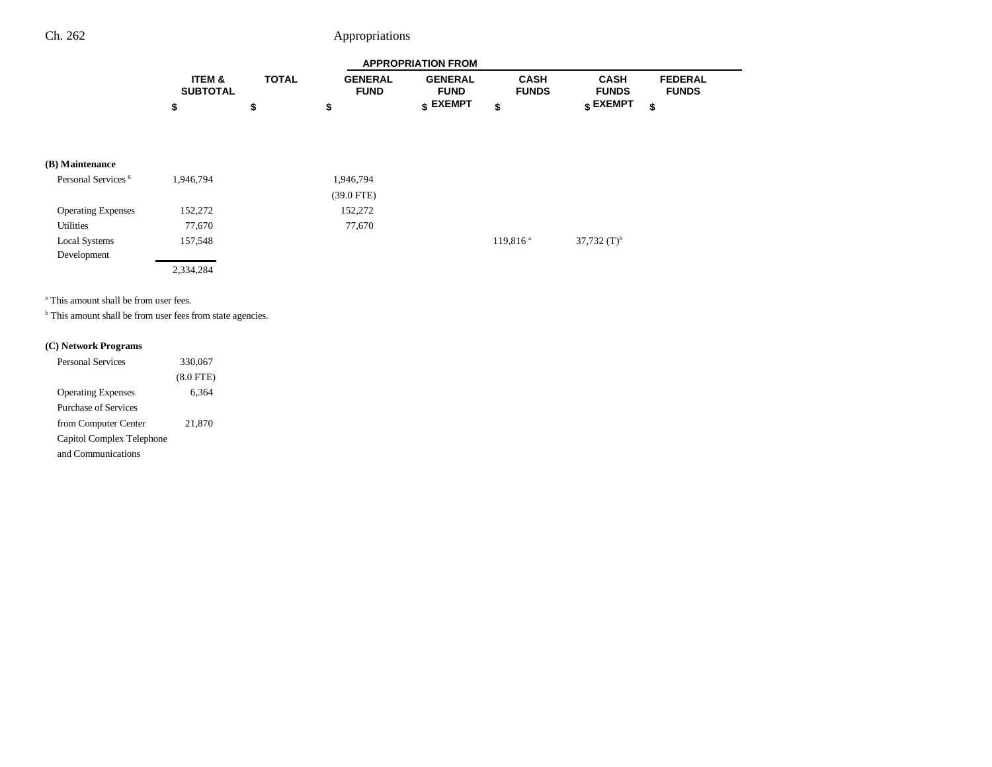|                   |              |                | <b>APPROPRIATION FROM</b> |              |                 |                |  |
|-------------------|--------------|----------------|---------------------------|--------------|-----------------|----------------|--|
| <b>ITEM &amp;</b> | <b>TOTAL</b> | <b>GENERAL</b> | <b>GENERAL</b>            | CASH         | <b>CASH</b>     | <b>FEDERAL</b> |  |
| <b>SUBTOTAL</b>   |              | <b>FUND</b>    | <b>FUND</b>               | <b>FUNDS</b> | <b>FUNDS</b>    | <b>FUNDS</b>   |  |
|                   |              |                | <b>« EXEMPT</b>           |              | <b>c</b> EXEMPT |                |  |

### **(B) Maintenance**

| Personal Services <sup>6</sup> | 1,946,794 | 1,946,794    |                        |                |
|--------------------------------|-----------|--------------|------------------------|----------------|
|                                |           | $(39.0$ FTE) |                        |                |
| <b>Operating Expenses</b>      | 152,272   | 152,272      |                        |                |
| <b>Utilities</b>               | 77,670    | 77,670       |                        |                |
| <b>Local Systems</b>           | 157,548   |              | $119,816$ <sup>a</sup> | 37,732 $(T)^b$ |
| Development                    |           |              |                        |                |
|                                | 2,334,284 |              |                        |                |

a This amount shall be from user fees.

**b** This amount shall be from user fees from state agencies.

#### **(C) Network Programs**

| <b>Personal Services</b>  | 330,067     |
|---------------------------|-------------|
|                           | $(8.0$ FTE) |
| <b>Operating Expenses</b> | 6,364       |
| Purchase of Services      |             |
| from Computer Center      | 21,870      |
| Capitol Complex Telephone |             |
| and Communications        |             |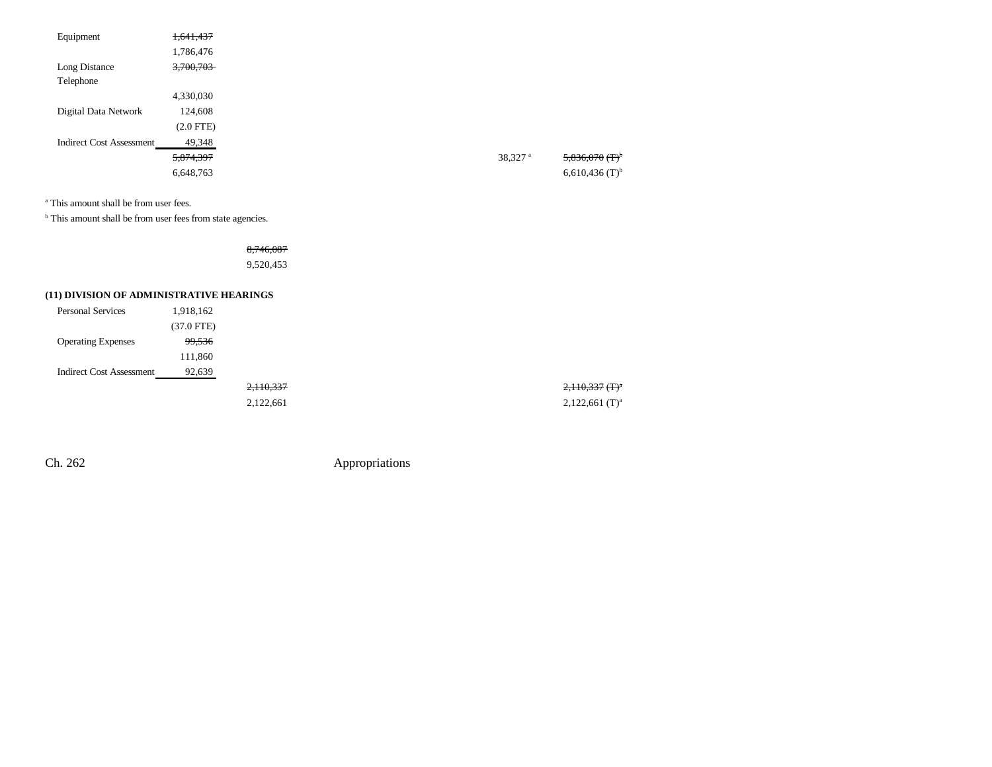| Equipment                       | 1,641,437      |                       |                              |
|---------------------------------|----------------|-----------------------|------------------------------|
|                                 | 1,786,476      |                       |                              |
| Long Distance                   | 3,700,703      |                       |                              |
| Telephone                       |                |                       |                              |
|                                 | 4,330,030      |                       |                              |
| Digital Data Network            | 124,608        |                       |                              |
|                                 | $(2.0$ FTE $)$ |                       |                              |
| <b>Indirect Cost Assessment</b> | 49,348         |                       |                              |
|                                 | 5,874,397      | $38,327$ <sup>a</sup> | $5,836,070$ (T) <sup>b</sup> |
|                                 | 6,648,763      |                       | $6,610,436$ (T) <sup>b</sup> |
|                                 |                |                       |                              |

a This amount shall be from user fees.

<sup>b</sup> This amount shall be from user fees from state agencies.

## 8,746,087

9,520,453

### **(11) DIVISION OF ADMINISTRATIVE HEARINGS**

| <b>Personal Services</b>  | 1,918,162    |
|---------------------------|--------------|
|                           | $(37.0$ FTE) |
| <b>Operating Expenses</b> | 99,536       |
|                           | 111,860      |
| Indirect Cost Assessment  | 92,639       |
|                           |              |
|                           |              |

Ch. 262 Appropriations

2,110,337 (T)<sup>a</sup> 2,122,661 2,122,661 (T)<sup>a</sup>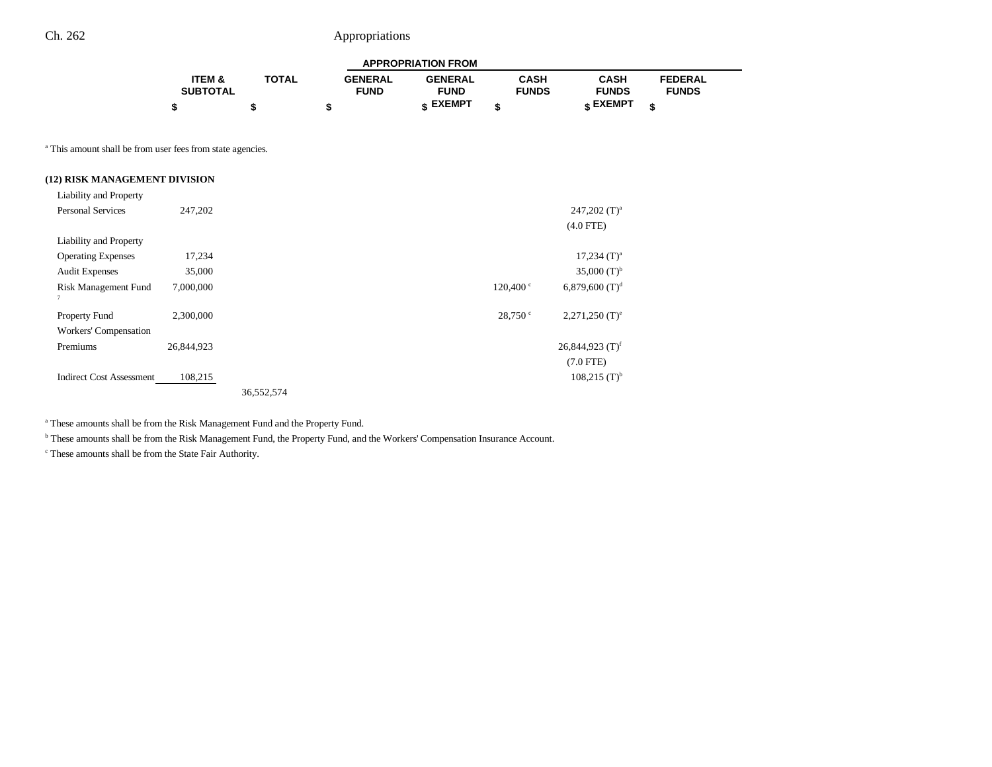|                   |              |                | <b>APPROPRIATION FROM</b> |              |              |                |  |
|-------------------|--------------|----------------|---------------------------|--------------|--------------|----------------|--|
| <b>ITEM &amp;</b> | <b>TOTAL</b> | <b>GENERAL</b> | <b>GENERAL</b>            | CASH         | CASH         | <b>FEDERAL</b> |  |
| <b>SUBTOTAL</b>   |              | <b>FUND</b>    | <b>FUND</b>               | <b>FUNDS</b> | <b>FUNDS</b> | <b>FUNDS</b>   |  |
|                   |              |                | c EXEMPT                  |              | e EXEMPT ہ   | œ              |  |

<sup>a</sup> This amount shall be from user fees from state agencies.

### **(12) RISK MANAGEMENT DIVISION**

| Liability and Property          |            |            |  |                   |                               |
|---------------------------------|------------|------------|--|-------------------|-------------------------------|
| <b>Personal Services</b>        | 247,202    |            |  |                   | $247,202$ (T) <sup>a</sup>    |
|                                 |            |            |  |                   | $(4.0$ FTE)                   |
| Liability and Property          |            |            |  |                   |                               |
| <b>Operating Expenses</b>       | 17,234     |            |  |                   | $17,234$ (T) <sup>a</sup>     |
| <b>Audit Expenses</b>           | 35,000     |            |  |                   | $35,000$ (T) <sup>b</sup>     |
| Risk Management Fund            | 7,000,000  |            |  | $120.400^{\circ}$ | $6,879,600$ (T) <sup>d</sup>  |
| $\tau$                          |            |            |  |                   |                               |
| Property Fund                   | 2,300,000  |            |  | 28,750°           | $2,271,250$ (T) <sup>e</sup>  |
| Workers' Compensation           |            |            |  |                   |                               |
| Premiums                        | 26,844,923 |            |  |                   | $26,844,923$ (T) <sup>f</sup> |
|                                 |            |            |  |                   | $(7.0$ FTE)                   |
| <b>Indirect Cost Assessment</b> | 108,215    |            |  |                   | $108,215$ (T) <sup>b</sup>    |
|                                 |            | 36,552,574 |  |                   |                               |

a These amounts shall be from the Risk Management Fund and the Property Fund.

**b** These amounts shall be from the Risk Management Fund, the Property Fund, and the Workers' Compensation Insurance Account.

c These amounts shall be from the State Fair Authority.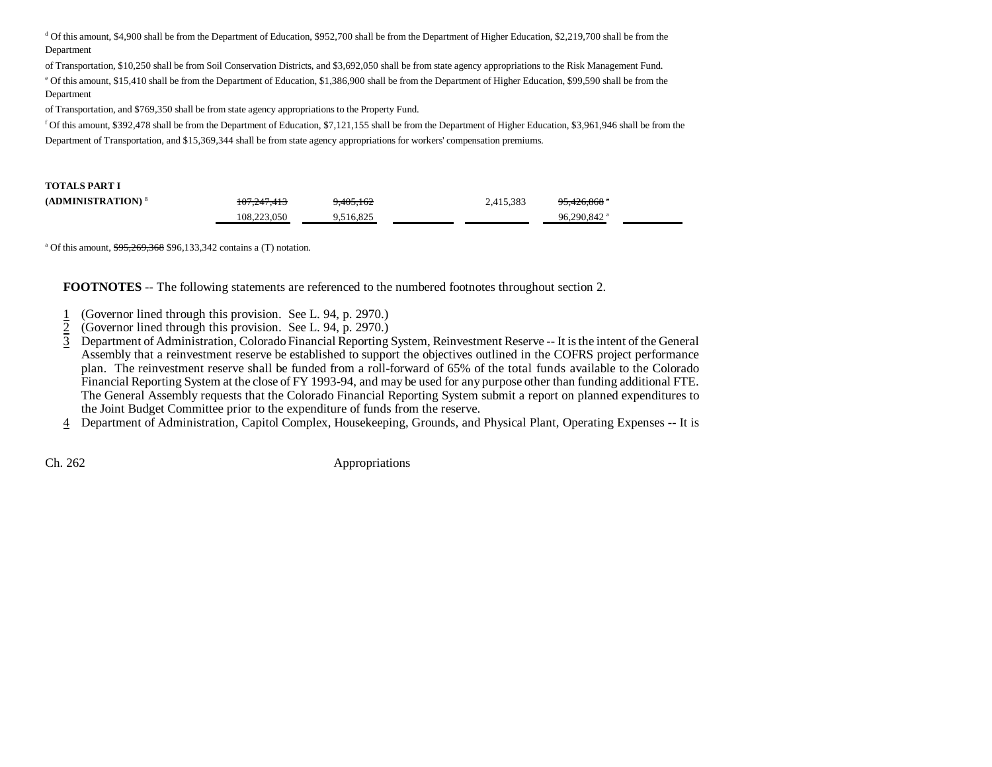d Of this amount, \$4,900 shall be from the Department of Education, \$952,700 shall be from the Department of Higher Education, \$2,219,700 shall be from the Department

of Transportation, \$10,250 shall be from Soil Conservation Districts, and \$3,692,050 shall be from state agency appropriations to the Risk Management Fund.

e Of this amount, \$15,410 shall be from the Department of Education, \$1,386,900 shall be from the Department of Higher Education, \$99,590 shall be from the Department

of Transportation, and \$769,350 shall be from state agency appropriations to the Property Fund.

f Of this amount, \$392,478 shall be from the Department of Education, \$7,121,155 shall be from the Department of Higher Education, \$3,961,946 shall be from the Department of Transportation, and \$15,369,344 shall be from state agency appropriations for workers' compensation premiums.

#### **TOTALS PART I**

| (ADMINISTRATION) <sup>8</sup> | 107.217.112<br>107.247.413 | 9.405.162 | 2,415,383 | 05. 106. 060. a<br>73.420.808 |  |
|-------------------------------|----------------------------|-----------|-----------|-------------------------------|--|
|                               | 108.223.050                | 9.516.825 |           | 96.290.842 <sup>a</sup>       |  |

<sup>a</sup> Of this amount,  $\frac{$95,269,368}{96,133,342}$  contains a (T) notation.

**FOOTNOTES** -- The following statements are referenced to the numbered footnotes throughout section 2.

- 1(Governor lined through this provision. See L. 94, p. 2970.)
- 2(Governor lined through this provision. See L. 94, p. 2970.)
- 3 Department of Administration, Colorado Financial Reporting System, Reinvestment Reserve -- It is the intent of the General Assembly that a reinvestment reserve be established to support the objectives outlined in the COFRS project performance plan. The reinvestment reserve shall be funded from a roll-forward of 65% of the total funds available to the Colorado Financial Reporting System at the close of FY 1993-94, and may be used for any purpose other than funding additional FTE. The General Assembly requests that the Colorado Financial Reporting System submit a report on planned expenditures to the Joint Budget Committee prior to the expenditure of funds from the reserve.

4 Department of Administration, Capitol Complex, Housekeeping, Grounds, and Physical Plant, Operating Expenses -- It is